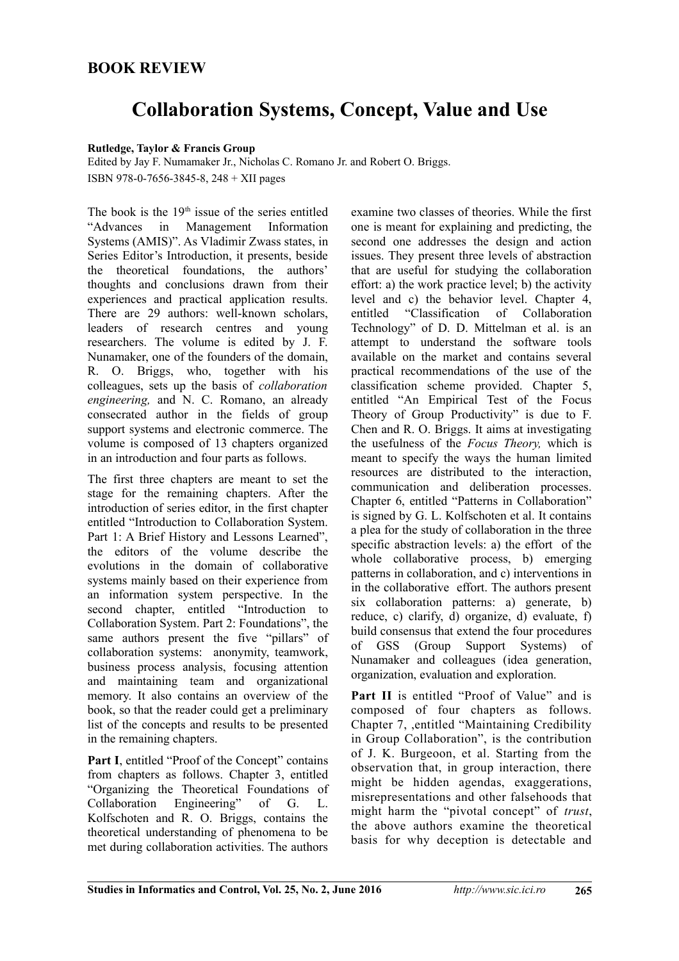## **BOOK REVIEW**

## **Collaboration Systems, Concept, Value and Use**

## **Rutledge, Taylor & Francis Group**

Edited by Jay F. Numamaker Jr., Nicholas C. Romano Jr. and Robert O. Briggs. ISBN 978-0-7656-3845-8, 248 + XII pages

The book is the  $19<sup>th</sup>$  issue of the series entitled "Advances in Management Information Systems (AMIS)". As Vladimir Zwass states, in Series Editor's Introduction, it presents, beside the theoretical foundations, the authors' thoughts and conclusions drawn from their experiences and practical application results. There are 29 authors: well-known scholars, leaders of research centres and young researchers. The volume is edited by J. F. Nunamaker, one of the founders of the domain, R. O. Briggs, who, together with his colleagues, sets up the basis of *collaboration engineering,* and N. C. Romano, an already consecrated author in the fields of group support systems and electronic commerce. The volume is composed of 13 chapters organized in an introduction and four parts as follows.

The first three chapters are meant to set the stage for the remaining chapters. After the introduction of series editor, in the first chapter entitled "Introduction to Collaboration System. Part 1: A Brief History and Lessons Learned", the editors of the volume describe the evolutions in the domain of collaborative systems mainly based on their experience from an information system perspective. In the second chapter, entitled "Introduction to Collaboration System. Part 2: Foundations", the same authors present the five "pillars" of collaboration systems: anonymity, teamwork, business process analysis, focusing attention and maintaining team and organizational memory. It also contains an overview of the book, so that the reader could get a preliminary list of the concepts and results to be presented in the remaining chapters.

**Part I**, entitled "Proof of the Concept" contains from chapters as follows. Chapter 3, entitled "Organizing the Theoretical Foundations of Collaboration Engineering" of G. L. Kolfschoten and R. O. Briggs, contains the theoretical understanding of phenomena to be met during collaboration activities. The authors

examine two classes of theories. While the first one is meant for explaining and predicting, the second one addresses the design and action issues. They present three levels of abstraction that are useful for studying the collaboration effort: a) the work practice level; b) the activity level and c) the behavior level. Chapter 4, entitled "Classification of Collaboration Technology" of D. D. Mittelman et al. is an attempt to understand the software tools available on the market and contains several practical recommendations of the use of the classification scheme provided. Chapter 5, entitled "An Empirical Test of the Focus Theory of Group Productivity" is due to F. Chen and R. O. Briggs. It aims at investigating the usefulness of the *Focus Theory,* which is meant to specify the ways the human limited resources are distributed to the interaction, communication and deliberation processes. Chapter 6, entitled "Patterns in Collaboration" is signed by G. L. Kolfschoten et al. It contains a plea for the study of collaboration in the three specific abstraction levels: a) the effort of the whole collaborative process, b) emerging patterns in collaboration, and c) interventions in in the collaborative effort. The authors present six collaboration patterns: a) generate, b) reduce, c) clarify, d) organize, d) evaluate, f) build consensus that extend the four procedures of GSS (Group Support Systems) of Nunamaker and colleagues (idea generation, organization, evaluation and exploration.

**Part II** is entitled "Proof of Value" and is composed of four chapters as follows. Chapter 7, ,entitled "Maintaining Credibility in Group Collaboration", is the contribution of J. K. Burgeoon, et al. Starting from the observation that, in group interaction, there might be hidden agendas, exaggerations, misrepresentations and other falsehoods that might harm the "pivotal concept" of *trust*, the above authors examine the theoretical basis for why deception is detectable and